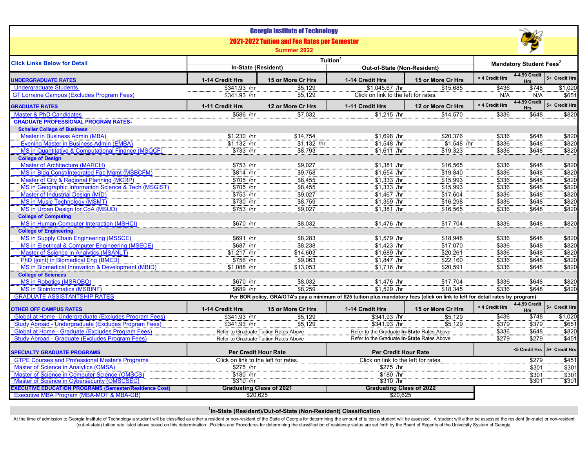| <b>2021-2022 Tuition and Fee Rates per Semester</b><br>Summer 2022<br>Tuition <sup>1</sup><br><b>Click Links Below for Detail</b><br><b>Mandatory Student Fees<sup>2</sup></b><br>In-State (Resident)<br>Out-of-State (Non-Resident)<br>4-4.99 Credit<br>< 4 Credit Hrs<br>1-14 Credit Hrs<br>1-14 Credit Hrs<br>15 or More Cr Hrs<br>15 or More Cr Hrs<br><b>JNDERGRADUATE RATES</b><br><b>Hrs</b><br><b>Undergraduate Students</b><br>\$341.93 /hr<br>\$1,045.67 /hr<br>\$15.685<br>\$436<br>\$5,129<br>\$748<br><b>GT Lorraine Campus (Excludes Program Fees)</b><br>\$5,129<br>Click on link to the left for rates.<br>\$341.93 /hr<br>N/A<br>N/A<br>4-4.99 Credit<br>< 4 Credit Hrs<br>1-11 Credit Hrs<br>12 or More Cr Hrs<br>1-11 Credit Hrs<br>12 or More Cr Hrs<br><b>GRADUATE RATES</b><br><b>Hrs</b><br><b>Master &amp; PhD Candidates</b><br>$$1,215$ /hr<br>\$336<br>\$586 /hr<br>\$7,032<br>\$14,570<br>\$648<br><b>GRADUATE PROFESSIONAL PROGRAM RATES-</b><br><b>Scheller College of Business</b><br><b>Master in Business Admin (MBA)</b><br>\$1,230 /hr<br>\$14,754<br>\$1,698 /hr<br>\$20,376<br>\$336<br>\$648<br><b>Evening Master in Business Admin (EMBA)</b><br>\$1,132 /hr<br>$$1,132$ /hr<br>$$1,548$ /hr<br>$$1,548$ /hr<br>\$336<br>\$648<br>MS in Quantitative & Computational Finance (MSQCF)<br>\$733 /hr<br>$$1,611$ /hr<br>\$19,323<br>\$336<br>\$648<br>\$8,793<br><b>College of Design</b><br>Master of Architecture (MARCH)<br>\$753 /hr<br>\$9,027<br>$$1,381$ /hr<br>\$16,565<br>\$336<br>\$648<br>MS in Bldg Const/Integrated Fac Mgmt (MSBCFM)<br>\$9,758<br>\$1,654 /hr<br>\$336<br>\$648<br>\$814 /hr<br>\$19,840<br>Master of City & Regional Planning (MCRP)<br>\$705 /hr<br>\$8,455<br>$$1,333$ /hr<br>\$15,993<br>\$336<br>\$648<br>MS in Geographic Information Science & Tech (MSGIST)<br>$$705$ /hr<br>\$8,455<br>$$1,333$ /hr<br>\$648<br>\$15,993<br>\$336<br>Master of Industrial Design (MID)<br>$$753$ /hr<br>\$9,027<br>$$1,467$ /hr<br>\$17,604<br>\$336<br>\$648<br><b>MS in Music Technology (MSMT)</b><br>\$730 /hr<br>\$8,759<br>\$1,359 /hr<br>\$16,298<br>\$336<br>\$648<br>$$1,381$ /hr<br>MS in Urban Design for CoA (MSUD)<br>\$753 /hr<br>\$9,027<br>\$336<br>\$16,565<br>\$648<br><b>College of Computing</b><br><b>MS in Human-Computer Interaction (MSHCI)</b><br>\$670 /hr<br>\$8,032<br>\$1,476 /hr<br>\$17,704<br>\$336<br>\$648<br><b>College of Engineering</b><br>MS in Supply Chain Engineering (MSSCE)<br>\$691 /hr<br>\$8,283<br>\$1,579 /hr<br>\$18,948<br>\$336<br>\$648<br>MS in Electrical & Computer Engineering (MSECE)<br>$$687$ /hr<br>\$8,238<br>$$1,423$ /hr<br>\$17,070<br>\$336<br>\$648<br>Master of Science in Analytics (MSANLT)<br>\$1,217 /hr<br>$$1,689$ /hr<br>\$20,261<br>\$648<br>\$14,603<br>\$336<br>PhD (joint) in Biomedical Eng (BMED)<br>\$756 /hr<br>\$9,063<br>$$1,847$ /hr<br>\$22,160<br>\$336<br>\$648<br><b>MS in Biomedical Innovation &amp; Development (MBID)</b><br>\$1,088 /hr<br>\$13,053<br>\$1,716 /hr<br>\$20,591<br>\$336<br>\$648<br><b>College of Sciences</b><br><b>MS in Robotics (MSROBO)</b><br>\$670 /hr<br>\$8,032<br>\$1,476 /hr<br>\$17,704<br>\$336<br>\$648<br>$$1,529$ /hr<br>\$8.259<br>\$689 /hr<br>\$18,345<br>\$336<br><b>MS in Bioinformatics (MSBINF)</b><br>\$648<br><b>GRADUATE ASSISTANTSHIP RATES</b><br>Per BOR policy, GRA/GTA's pay a minimum of \$25 tuition plus mandatory fees (click on link to left for detail rates by program)<br>4-4.99 Credit<br>< 4 Credit Hrs<br>1-14 Credit Hrs<br>15 or More Cr Hrs<br>15 or More Cr Hrs<br><b>OTHER OFF CAMPUS RATES</b><br>1-14 Credit Hrs<br><b>Hrs</b><br>Global at Home - Undergraduate (Excludes Program Fees)<br>\$341.93 /hr<br>\$5,129<br>\$341.93 /hr<br>\$5,129<br>\$436<br>\$748<br>Study Abroad - Undergraduate (Excludes Program Fees)<br>\$341.93 /hr<br>\$5,129<br>\$341.93 /hr<br>\$5,129<br>\$379<br>\$379<br>Global at Home - Graduate (Excludes Program Fees)<br>\$336<br>\$648<br>Refer to Graduate Tuition Rates Above<br>Refer to the Graduate In-State Rates Above<br>\$279<br>\$279<br>Study Abroad - Graduate (Excludes Program Fees)<br>Refer to Graduate Tuition Rates Above<br>Refer to the Graduate In-State Rates Above<br><5 Credit Hrs 5+ Credit Hrs<br><b>Per Credit Hour Rate</b><br><b>Per Credit Hour Rate</b><br><b>SPECIALTY GRADUATE PROGRAMS</b><br><b>GTPE Courses and Professional Master's Programs</b><br>Click on link to the left for rates.<br>Click on link to the left for rates.<br>\$279<br><b>Master of Science in Analytics (OMSA)</b><br>\$275 /hr<br>\$275 /hr<br>\$301<br>Master of Science in Computer Science (OMSCS)<br>\$180 /hr<br>\$180 /hr<br>\$301<br>$\frac{1}{301}$<br>\$310 /hr<br>\$310 /hr<br>Master of Science in Cybersecurity (OMSCSEC)<br><b>Graduating Class of 2021</b><br><b>Graduating Class of 2022</b> |                                                               |  | <b>Georgia Institute of Technology</b> |  |  |  |                |
|----------------------------------------------------------------------------------------------------------------------------------------------------------------------------------------------------------------------------------------------------------------------------------------------------------------------------------------------------------------------------------------------------------------------------------------------------------------------------------------------------------------------------------------------------------------------------------------------------------------------------------------------------------------------------------------------------------------------------------------------------------------------------------------------------------------------------------------------------------------------------------------------------------------------------------------------------------------------------------------------------------------------------------------------------------------------------------------------------------------------------------------------------------------------------------------------------------------------------------------------------------------------------------------------------------------------------------------------------------------------------------------------------------------------------------------------------------------------------------------------------------------------------------------------------------------------------------------------------------------------------------------------------------------------------------------------------------------------------------------------------------------------------------------------------------------------------------------------------------------------------------------------------------------------------------------------------------------------------------------------------------------------------------------------------------------------------------------------------------------------------------------------------------------------------------------------------------------------------------------------------------------------------------------------------------------------------------------------------------------------------------------------------------------------------------------------------------------------------------------------------------------------------------------------------------------------------------------------------------------------------------------------------------------------------------------------------------------------------------------------------------------------------------------------------------------------------------------------------------------------------------------------------------------------------------------------------------------------------------------------------------------------------------------------------------------------------------------------------------------------------------------------------------------------------------------------------------------------------------------------------------------------------------------------------------------------------------------------------------------------------------------------------------------------------------------------------------------------------------------------------------------------------------------------------------------------------------------------------------------------------------------------------------------------------------------------------------------------------------------------------------------------------------------------------------------------------------------------------------------------------------------------------------------------------------------------------------------------------------------------------------------------------------------------------------------------------------------------------------------------------------------------------------------------------------------------------------------------------------------------------------------------------------------------------------------------------------------------------------------------------------------------------------------------------------------------------------------------------------------------------------------------------------------------------------------------------------------------------------------------------------------------------------------------------------------------------------------------------------------------------------------------------------------------------------------------------------------------------------------------------------------|---------------------------------------------------------------|--|----------------------------------------|--|--|--|----------------|
|                                                                                                                                                                                                                                                                                                                                                                                                                                                                                                                                                                                                                                                                                                                                                                                                                                                                                                                                                                                                                                                                                                                                                                                                                                                                                                                                                                                                                                                                                                                                                                                                                                                                                                                                                                                                                                                                                                                                                                                                                                                                                                                                                                                                                                                                                                                                                                                                                                                                                                                                                                                                                                                                                                                                                                                                                                                                                                                                                                                                                                                                                                                                                                                                                                                                                                                                                                                                                                                                                                                                                                                                                                                                                                                                                                                                                                                                                                                                                                                                                                                                                                                                                                                                                                                                                                                                                                                                                                                                                                                                                                                                                                                                                                                                                                                                                                                                                        |                                                               |  |                                        |  |  |  |                |
|                                                                                                                                                                                                                                                                                                                                                                                                                                                                                                                                                                                                                                                                                                                                                                                                                                                                                                                                                                                                                                                                                                                                                                                                                                                                                                                                                                                                                                                                                                                                                                                                                                                                                                                                                                                                                                                                                                                                                                                                                                                                                                                                                                                                                                                                                                                                                                                                                                                                                                                                                                                                                                                                                                                                                                                                                                                                                                                                                                                                                                                                                                                                                                                                                                                                                                                                                                                                                                                                                                                                                                                                                                                                                                                                                                                                                                                                                                                                                                                                                                                                                                                                                                                                                                                                                                                                                                                                                                                                                                                                                                                                                                                                                                                                                                                                                                                                                        |                                                               |  |                                        |  |  |  |                |
|                                                                                                                                                                                                                                                                                                                                                                                                                                                                                                                                                                                                                                                                                                                                                                                                                                                                                                                                                                                                                                                                                                                                                                                                                                                                                                                                                                                                                                                                                                                                                                                                                                                                                                                                                                                                                                                                                                                                                                                                                                                                                                                                                                                                                                                                                                                                                                                                                                                                                                                                                                                                                                                                                                                                                                                                                                                                                                                                                                                                                                                                                                                                                                                                                                                                                                                                                                                                                                                                                                                                                                                                                                                                                                                                                                                                                                                                                                                                                                                                                                                                                                                                                                                                                                                                                                                                                                                                                                                                                                                                                                                                                                                                                                                                                                                                                                                                                        |                                                               |  |                                        |  |  |  |                |
|                                                                                                                                                                                                                                                                                                                                                                                                                                                                                                                                                                                                                                                                                                                                                                                                                                                                                                                                                                                                                                                                                                                                                                                                                                                                                                                                                                                                                                                                                                                                                                                                                                                                                                                                                                                                                                                                                                                                                                                                                                                                                                                                                                                                                                                                                                                                                                                                                                                                                                                                                                                                                                                                                                                                                                                                                                                                                                                                                                                                                                                                                                                                                                                                                                                                                                                                                                                                                                                                                                                                                                                                                                                                                                                                                                                                                                                                                                                                                                                                                                                                                                                                                                                                                                                                                                                                                                                                                                                                                                                                                                                                                                                                                                                                                                                                                                                                                        |                                                               |  |                                        |  |  |  | 5+ Credit Hrs  |
|                                                                                                                                                                                                                                                                                                                                                                                                                                                                                                                                                                                                                                                                                                                                                                                                                                                                                                                                                                                                                                                                                                                                                                                                                                                                                                                                                                                                                                                                                                                                                                                                                                                                                                                                                                                                                                                                                                                                                                                                                                                                                                                                                                                                                                                                                                                                                                                                                                                                                                                                                                                                                                                                                                                                                                                                                                                                                                                                                                                                                                                                                                                                                                                                                                                                                                                                                                                                                                                                                                                                                                                                                                                                                                                                                                                                                                                                                                                                                                                                                                                                                                                                                                                                                                                                                                                                                                                                                                                                                                                                                                                                                                                                                                                                                                                                                                                                                        |                                                               |  |                                        |  |  |  |                |
|                                                                                                                                                                                                                                                                                                                                                                                                                                                                                                                                                                                                                                                                                                                                                                                                                                                                                                                                                                                                                                                                                                                                                                                                                                                                                                                                                                                                                                                                                                                                                                                                                                                                                                                                                                                                                                                                                                                                                                                                                                                                                                                                                                                                                                                                                                                                                                                                                                                                                                                                                                                                                                                                                                                                                                                                                                                                                                                                                                                                                                                                                                                                                                                                                                                                                                                                                                                                                                                                                                                                                                                                                                                                                                                                                                                                                                                                                                                                                                                                                                                                                                                                                                                                                                                                                                                                                                                                                                                                                                                                                                                                                                                                                                                                                                                                                                                                                        |                                                               |  |                                        |  |  |  | \$1,020        |
|                                                                                                                                                                                                                                                                                                                                                                                                                                                                                                                                                                                                                                                                                                                                                                                                                                                                                                                                                                                                                                                                                                                                                                                                                                                                                                                                                                                                                                                                                                                                                                                                                                                                                                                                                                                                                                                                                                                                                                                                                                                                                                                                                                                                                                                                                                                                                                                                                                                                                                                                                                                                                                                                                                                                                                                                                                                                                                                                                                                                                                                                                                                                                                                                                                                                                                                                                                                                                                                                                                                                                                                                                                                                                                                                                                                                                                                                                                                                                                                                                                                                                                                                                                                                                                                                                                                                                                                                                                                                                                                                                                                                                                                                                                                                                                                                                                                                                        |                                                               |  |                                        |  |  |  | \$651          |
|                                                                                                                                                                                                                                                                                                                                                                                                                                                                                                                                                                                                                                                                                                                                                                                                                                                                                                                                                                                                                                                                                                                                                                                                                                                                                                                                                                                                                                                                                                                                                                                                                                                                                                                                                                                                                                                                                                                                                                                                                                                                                                                                                                                                                                                                                                                                                                                                                                                                                                                                                                                                                                                                                                                                                                                                                                                                                                                                                                                                                                                                                                                                                                                                                                                                                                                                                                                                                                                                                                                                                                                                                                                                                                                                                                                                                                                                                                                                                                                                                                                                                                                                                                                                                                                                                                                                                                                                                                                                                                                                                                                                                                                                                                                                                                                                                                                                                        |                                                               |  |                                        |  |  |  | 5+ Credit Hrs  |
|                                                                                                                                                                                                                                                                                                                                                                                                                                                                                                                                                                                                                                                                                                                                                                                                                                                                                                                                                                                                                                                                                                                                                                                                                                                                                                                                                                                                                                                                                                                                                                                                                                                                                                                                                                                                                                                                                                                                                                                                                                                                                                                                                                                                                                                                                                                                                                                                                                                                                                                                                                                                                                                                                                                                                                                                                                                                                                                                                                                                                                                                                                                                                                                                                                                                                                                                                                                                                                                                                                                                                                                                                                                                                                                                                                                                                                                                                                                                                                                                                                                                                                                                                                                                                                                                                                                                                                                                                                                                                                                                                                                                                                                                                                                                                                                                                                                                                        |                                                               |  |                                        |  |  |  | \$820          |
|                                                                                                                                                                                                                                                                                                                                                                                                                                                                                                                                                                                                                                                                                                                                                                                                                                                                                                                                                                                                                                                                                                                                                                                                                                                                                                                                                                                                                                                                                                                                                                                                                                                                                                                                                                                                                                                                                                                                                                                                                                                                                                                                                                                                                                                                                                                                                                                                                                                                                                                                                                                                                                                                                                                                                                                                                                                                                                                                                                                                                                                                                                                                                                                                                                                                                                                                                                                                                                                                                                                                                                                                                                                                                                                                                                                                                                                                                                                                                                                                                                                                                                                                                                                                                                                                                                                                                                                                                                                                                                                                                                                                                                                                                                                                                                                                                                                                                        |                                                               |  |                                        |  |  |  |                |
|                                                                                                                                                                                                                                                                                                                                                                                                                                                                                                                                                                                                                                                                                                                                                                                                                                                                                                                                                                                                                                                                                                                                                                                                                                                                                                                                                                                                                                                                                                                                                                                                                                                                                                                                                                                                                                                                                                                                                                                                                                                                                                                                                                                                                                                                                                                                                                                                                                                                                                                                                                                                                                                                                                                                                                                                                                                                                                                                                                                                                                                                                                                                                                                                                                                                                                                                                                                                                                                                                                                                                                                                                                                                                                                                                                                                                                                                                                                                                                                                                                                                                                                                                                                                                                                                                                                                                                                                                                                                                                                                                                                                                                                                                                                                                                                                                                                                                        |                                                               |  |                                        |  |  |  |                |
|                                                                                                                                                                                                                                                                                                                                                                                                                                                                                                                                                                                                                                                                                                                                                                                                                                                                                                                                                                                                                                                                                                                                                                                                                                                                                                                                                                                                                                                                                                                                                                                                                                                                                                                                                                                                                                                                                                                                                                                                                                                                                                                                                                                                                                                                                                                                                                                                                                                                                                                                                                                                                                                                                                                                                                                                                                                                                                                                                                                                                                                                                                                                                                                                                                                                                                                                                                                                                                                                                                                                                                                                                                                                                                                                                                                                                                                                                                                                                                                                                                                                                                                                                                                                                                                                                                                                                                                                                                                                                                                                                                                                                                                                                                                                                                                                                                                                                        |                                                               |  |                                        |  |  |  | \$820          |
|                                                                                                                                                                                                                                                                                                                                                                                                                                                                                                                                                                                                                                                                                                                                                                                                                                                                                                                                                                                                                                                                                                                                                                                                                                                                                                                                                                                                                                                                                                                                                                                                                                                                                                                                                                                                                                                                                                                                                                                                                                                                                                                                                                                                                                                                                                                                                                                                                                                                                                                                                                                                                                                                                                                                                                                                                                                                                                                                                                                                                                                                                                                                                                                                                                                                                                                                                                                                                                                                                                                                                                                                                                                                                                                                                                                                                                                                                                                                                                                                                                                                                                                                                                                                                                                                                                                                                                                                                                                                                                                                                                                                                                                                                                                                                                                                                                                                                        |                                                               |  |                                        |  |  |  | \$820          |
|                                                                                                                                                                                                                                                                                                                                                                                                                                                                                                                                                                                                                                                                                                                                                                                                                                                                                                                                                                                                                                                                                                                                                                                                                                                                                                                                                                                                                                                                                                                                                                                                                                                                                                                                                                                                                                                                                                                                                                                                                                                                                                                                                                                                                                                                                                                                                                                                                                                                                                                                                                                                                                                                                                                                                                                                                                                                                                                                                                                                                                                                                                                                                                                                                                                                                                                                                                                                                                                                                                                                                                                                                                                                                                                                                                                                                                                                                                                                                                                                                                                                                                                                                                                                                                                                                                                                                                                                                                                                                                                                                                                                                                                                                                                                                                                                                                                                                        |                                                               |  |                                        |  |  |  | \$820          |
|                                                                                                                                                                                                                                                                                                                                                                                                                                                                                                                                                                                                                                                                                                                                                                                                                                                                                                                                                                                                                                                                                                                                                                                                                                                                                                                                                                                                                                                                                                                                                                                                                                                                                                                                                                                                                                                                                                                                                                                                                                                                                                                                                                                                                                                                                                                                                                                                                                                                                                                                                                                                                                                                                                                                                                                                                                                                                                                                                                                                                                                                                                                                                                                                                                                                                                                                                                                                                                                                                                                                                                                                                                                                                                                                                                                                                                                                                                                                                                                                                                                                                                                                                                                                                                                                                                                                                                                                                                                                                                                                                                                                                                                                                                                                                                                                                                                                                        |                                                               |  |                                        |  |  |  |                |
|                                                                                                                                                                                                                                                                                                                                                                                                                                                                                                                                                                                                                                                                                                                                                                                                                                                                                                                                                                                                                                                                                                                                                                                                                                                                                                                                                                                                                                                                                                                                                                                                                                                                                                                                                                                                                                                                                                                                                                                                                                                                                                                                                                                                                                                                                                                                                                                                                                                                                                                                                                                                                                                                                                                                                                                                                                                                                                                                                                                                                                                                                                                                                                                                                                                                                                                                                                                                                                                                                                                                                                                                                                                                                                                                                                                                                                                                                                                                                                                                                                                                                                                                                                                                                                                                                                                                                                                                                                                                                                                                                                                                                                                                                                                                                                                                                                                                                        |                                                               |  |                                        |  |  |  | \$820          |
|                                                                                                                                                                                                                                                                                                                                                                                                                                                                                                                                                                                                                                                                                                                                                                                                                                                                                                                                                                                                                                                                                                                                                                                                                                                                                                                                                                                                                                                                                                                                                                                                                                                                                                                                                                                                                                                                                                                                                                                                                                                                                                                                                                                                                                                                                                                                                                                                                                                                                                                                                                                                                                                                                                                                                                                                                                                                                                                                                                                                                                                                                                                                                                                                                                                                                                                                                                                                                                                                                                                                                                                                                                                                                                                                                                                                                                                                                                                                                                                                                                                                                                                                                                                                                                                                                                                                                                                                                                                                                                                                                                                                                                                                                                                                                                                                                                                                                        |                                                               |  |                                        |  |  |  | \$820          |
|                                                                                                                                                                                                                                                                                                                                                                                                                                                                                                                                                                                                                                                                                                                                                                                                                                                                                                                                                                                                                                                                                                                                                                                                                                                                                                                                                                                                                                                                                                                                                                                                                                                                                                                                                                                                                                                                                                                                                                                                                                                                                                                                                                                                                                                                                                                                                                                                                                                                                                                                                                                                                                                                                                                                                                                                                                                                                                                                                                                                                                                                                                                                                                                                                                                                                                                                                                                                                                                                                                                                                                                                                                                                                                                                                                                                                                                                                                                                                                                                                                                                                                                                                                                                                                                                                                                                                                                                                                                                                                                                                                                                                                                                                                                                                                                                                                                                                        |                                                               |  |                                        |  |  |  | \$820          |
|                                                                                                                                                                                                                                                                                                                                                                                                                                                                                                                                                                                                                                                                                                                                                                                                                                                                                                                                                                                                                                                                                                                                                                                                                                                                                                                                                                                                                                                                                                                                                                                                                                                                                                                                                                                                                                                                                                                                                                                                                                                                                                                                                                                                                                                                                                                                                                                                                                                                                                                                                                                                                                                                                                                                                                                                                                                                                                                                                                                                                                                                                                                                                                                                                                                                                                                                                                                                                                                                                                                                                                                                                                                                                                                                                                                                                                                                                                                                                                                                                                                                                                                                                                                                                                                                                                                                                                                                                                                                                                                                                                                                                                                                                                                                                                                                                                                                                        |                                                               |  |                                        |  |  |  | \$820          |
|                                                                                                                                                                                                                                                                                                                                                                                                                                                                                                                                                                                                                                                                                                                                                                                                                                                                                                                                                                                                                                                                                                                                                                                                                                                                                                                                                                                                                                                                                                                                                                                                                                                                                                                                                                                                                                                                                                                                                                                                                                                                                                                                                                                                                                                                                                                                                                                                                                                                                                                                                                                                                                                                                                                                                                                                                                                                                                                                                                                                                                                                                                                                                                                                                                                                                                                                                                                                                                                                                                                                                                                                                                                                                                                                                                                                                                                                                                                                                                                                                                                                                                                                                                                                                                                                                                                                                                                                                                                                                                                                                                                                                                                                                                                                                                                                                                                                                        |                                                               |  |                                        |  |  |  | \$820          |
|                                                                                                                                                                                                                                                                                                                                                                                                                                                                                                                                                                                                                                                                                                                                                                                                                                                                                                                                                                                                                                                                                                                                                                                                                                                                                                                                                                                                                                                                                                                                                                                                                                                                                                                                                                                                                                                                                                                                                                                                                                                                                                                                                                                                                                                                                                                                                                                                                                                                                                                                                                                                                                                                                                                                                                                                                                                                                                                                                                                                                                                                                                                                                                                                                                                                                                                                                                                                                                                                                                                                                                                                                                                                                                                                                                                                                                                                                                                                                                                                                                                                                                                                                                                                                                                                                                                                                                                                                                                                                                                                                                                                                                                                                                                                                                                                                                                                                        |                                                               |  |                                        |  |  |  | \$820          |
|                                                                                                                                                                                                                                                                                                                                                                                                                                                                                                                                                                                                                                                                                                                                                                                                                                                                                                                                                                                                                                                                                                                                                                                                                                                                                                                                                                                                                                                                                                                                                                                                                                                                                                                                                                                                                                                                                                                                                                                                                                                                                                                                                                                                                                                                                                                                                                                                                                                                                                                                                                                                                                                                                                                                                                                                                                                                                                                                                                                                                                                                                                                                                                                                                                                                                                                                                                                                                                                                                                                                                                                                                                                                                                                                                                                                                                                                                                                                                                                                                                                                                                                                                                                                                                                                                                                                                                                                                                                                                                                                                                                                                                                                                                                                                                                                                                                                                        |                                                               |  |                                        |  |  |  | \$820          |
|                                                                                                                                                                                                                                                                                                                                                                                                                                                                                                                                                                                                                                                                                                                                                                                                                                                                                                                                                                                                                                                                                                                                                                                                                                                                                                                                                                                                                                                                                                                                                                                                                                                                                                                                                                                                                                                                                                                                                                                                                                                                                                                                                                                                                                                                                                                                                                                                                                                                                                                                                                                                                                                                                                                                                                                                                                                                                                                                                                                                                                                                                                                                                                                                                                                                                                                                                                                                                                                                                                                                                                                                                                                                                                                                                                                                                                                                                                                                                                                                                                                                                                                                                                                                                                                                                                                                                                                                                                                                                                                                                                                                                                                                                                                                                                                                                                                                                        |                                                               |  |                                        |  |  |  |                |
|                                                                                                                                                                                                                                                                                                                                                                                                                                                                                                                                                                                                                                                                                                                                                                                                                                                                                                                                                                                                                                                                                                                                                                                                                                                                                                                                                                                                                                                                                                                                                                                                                                                                                                                                                                                                                                                                                                                                                                                                                                                                                                                                                                                                                                                                                                                                                                                                                                                                                                                                                                                                                                                                                                                                                                                                                                                                                                                                                                                                                                                                                                                                                                                                                                                                                                                                                                                                                                                                                                                                                                                                                                                                                                                                                                                                                                                                                                                                                                                                                                                                                                                                                                                                                                                                                                                                                                                                                                                                                                                                                                                                                                                                                                                                                                                                                                                                                        |                                                               |  |                                        |  |  |  | \$820          |
|                                                                                                                                                                                                                                                                                                                                                                                                                                                                                                                                                                                                                                                                                                                                                                                                                                                                                                                                                                                                                                                                                                                                                                                                                                                                                                                                                                                                                                                                                                                                                                                                                                                                                                                                                                                                                                                                                                                                                                                                                                                                                                                                                                                                                                                                                                                                                                                                                                                                                                                                                                                                                                                                                                                                                                                                                                                                                                                                                                                                                                                                                                                                                                                                                                                                                                                                                                                                                                                                                                                                                                                                                                                                                                                                                                                                                                                                                                                                                                                                                                                                                                                                                                                                                                                                                                                                                                                                                                                                                                                                                                                                                                                                                                                                                                                                                                                                                        |                                                               |  |                                        |  |  |  |                |
|                                                                                                                                                                                                                                                                                                                                                                                                                                                                                                                                                                                                                                                                                                                                                                                                                                                                                                                                                                                                                                                                                                                                                                                                                                                                                                                                                                                                                                                                                                                                                                                                                                                                                                                                                                                                                                                                                                                                                                                                                                                                                                                                                                                                                                                                                                                                                                                                                                                                                                                                                                                                                                                                                                                                                                                                                                                                                                                                                                                                                                                                                                                                                                                                                                                                                                                                                                                                                                                                                                                                                                                                                                                                                                                                                                                                                                                                                                                                                                                                                                                                                                                                                                                                                                                                                                                                                                                                                                                                                                                                                                                                                                                                                                                                                                                                                                                                                        |                                                               |  |                                        |  |  |  | \$820          |
|                                                                                                                                                                                                                                                                                                                                                                                                                                                                                                                                                                                                                                                                                                                                                                                                                                                                                                                                                                                                                                                                                                                                                                                                                                                                                                                                                                                                                                                                                                                                                                                                                                                                                                                                                                                                                                                                                                                                                                                                                                                                                                                                                                                                                                                                                                                                                                                                                                                                                                                                                                                                                                                                                                                                                                                                                                                                                                                                                                                                                                                                                                                                                                                                                                                                                                                                                                                                                                                                                                                                                                                                                                                                                                                                                                                                                                                                                                                                                                                                                                                                                                                                                                                                                                                                                                                                                                                                                                                                                                                                                                                                                                                                                                                                                                                                                                                                                        |                                                               |  |                                        |  |  |  | \$820          |
|                                                                                                                                                                                                                                                                                                                                                                                                                                                                                                                                                                                                                                                                                                                                                                                                                                                                                                                                                                                                                                                                                                                                                                                                                                                                                                                                                                                                                                                                                                                                                                                                                                                                                                                                                                                                                                                                                                                                                                                                                                                                                                                                                                                                                                                                                                                                                                                                                                                                                                                                                                                                                                                                                                                                                                                                                                                                                                                                                                                                                                                                                                                                                                                                                                                                                                                                                                                                                                                                                                                                                                                                                                                                                                                                                                                                                                                                                                                                                                                                                                                                                                                                                                                                                                                                                                                                                                                                                                                                                                                                                                                                                                                                                                                                                                                                                                                                                        |                                                               |  |                                        |  |  |  | \$820          |
|                                                                                                                                                                                                                                                                                                                                                                                                                                                                                                                                                                                                                                                                                                                                                                                                                                                                                                                                                                                                                                                                                                                                                                                                                                                                                                                                                                                                                                                                                                                                                                                                                                                                                                                                                                                                                                                                                                                                                                                                                                                                                                                                                                                                                                                                                                                                                                                                                                                                                                                                                                                                                                                                                                                                                                                                                                                                                                                                                                                                                                                                                                                                                                                                                                                                                                                                                                                                                                                                                                                                                                                                                                                                                                                                                                                                                                                                                                                                                                                                                                                                                                                                                                                                                                                                                                                                                                                                                                                                                                                                                                                                                                                                                                                                                                                                                                                                                        |                                                               |  |                                        |  |  |  | \$820          |
|                                                                                                                                                                                                                                                                                                                                                                                                                                                                                                                                                                                                                                                                                                                                                                                                                                                                                                                                                                                                                                                                                                                                                                                                                                                                                                                                                                                                                                                                                                                                                                                                                                                                                                                                                                                                                                                                                                                                                                                                                                                                                                                                                                                                                                                                                                                                                                                                                                                                                                                                                                                                                                                                                                                                                                                                                                                                                                                                                                                                                                                                                                                                                                                                                                                                                                                                                                                                                                                                                                                                                                                                                                                                                                                                                                                                                                                                                                                                                                                                                                                                                                                                                                                                                                                                                                                                                                                                                                                                                                                                                                                                                                                                                                                                                                                                                                                                                        |                                                               |  |                                        |  |  |  | \$820          |
|                                                                                                                                                                                                                                                                                                                                                                                                                                                                                                                                                                                                                                                                                                                                                                                                                                                                                                                                                                                                                                                                                                                                                                                                                                                                                                                                                                                                                                                                                                                                                                                                                                                                                                                                                                                                                                                                                                                                                                                                                                                                                                                                                                                                                                                                                                                                                                                                                                                                                                                                                                                                                                                                                                                                                                                                                                                                                                                                                                                                                                                                                                                                                                                                                                                                                                                                                                                                                                                                                                                                                                                                                                                                                                                                                                                                                                                                                                                                                                                                                                                                                                                                                                                                                                                                                                                                                                                                                                                                                                                                                                                                                                                                                                                                                                                                                                                                                        |                                                               |  |                                        |  |  |  |                |
|                                                                                                                                                                                                                                                                                                                                                                                                                                                                                                                                                                                                                                                                                                                                                                                                                                                                                                                                                                                                                                                                                                                                                                                                                                                                                                                                                                                                                                                                                                                                                                                                                                                                                                                                                                                                                                                                                                                                                                                                                                                                                                                                                                                                                                                                                                                                                                                                                                                                                                                                                                                                                                                                                                                                                                                                                                                                                                                                                                                                                                                                                                                                                                                                                                                                                                                                                                                                                                                                                                                                                                                                                                                                                                                                                                                                                                                                                                                                                                                                                                                                                                                                                                                                                                                                                                                                                                                                                                                                                                                                                                                                                                                                                                                                                                                                                                                                                        |                                                               |  |                                        |  |  |  | \$820          |
|                                                                                                                                                                                                                                                                                                                                                                                                                                                                                                                                                                                                                                                                                                                                                                                                                                                                                                                                                                                                                                                                                                                                                                                                                                                                                                                                                                                                                                                                                                                                                                                                                                                                                                                                                                                                                                                                                                                                                                                                                                                                                                                                                                                                                                                                                                                                                                                                                                                                                                                                                                                                                                                                                                                                                                                                                                                                                                                                                                                                                                                                                                                                                                                                                                                                                                                                                                                                                                                                                                                                                                                                                                                                                                                                                                                                                                                                                                                                                                                                                                                                                                                                                                                                                                                                                                                                                                                                                                                                                                                                                                                                                                                                                                                                                                                                                                                                                        |                                                               |  |                                        |  |  |  | \$820          |
|                                                                                                                                                                                                                                                                                                                                                                                                                                                                                                                                                                                                                                                                                                                                                                                                                                                                                                                                                                                                                                                                                                                                                                                                                                                                                                                                                                                                                                                                                                                                                                                                                                                                                                                                                                                                                                                                                                                                                                                                                                                                                                                                                                                                                                                                                                                                                                                                                                                                                                                                                                                                                                                                                                                                                                                                                                                                                                                                                                                                                                                                                                                                                                                                                                                                                                                                                                                                                                                                                                                                                                                                                                                                                                                                                                                                                                                                                                                                                                                                                                                                                                                                                                                                                                                                                                                                                                                                                                                                                                                                                                                                                                                                                                                                                                                                                                                                                        |                                                               |  |                                        |  |  |  |                |
|                                                                                                                                                                                                                                                                                                                                                                                                                                                                                                                                                                                                                                                                                                                                                                                                                                                                                                                                                                                                                                                                                                                                                                                                                                                                                                                                                                                                                                                                                                                                                                                                                                                                                                                                                                                                                                                                                                                                                                                                                                                                                                                                                                                                                                                                                                                                                                                                                                                                                                                                                                                                                                                                                                                                                                                                                                                                                                                                                                                                                                                                                                                                                                                                                                                                                                                                                                                                                                                                                                                                                                                                                                                                                                                                                                                                                                                                                                                                                                                                                                                                                                                                                                                                                                                                                                                                                                                                                                                                                                                                                                                                                                                                                                                                                                                                                                                                                        |                                                               |  |                                        |  |  |  | 5+ Credit Hrs  |
|                                                                                                                                                                                                                                                                                                                                                                                                                                                                                                                                                                                                                                                                                                                                                                                                                                                                                                                                                                                                                                                                                                                                                                                                                                                                                                                                                                                                                                                                                                                                                                                                                                                                                                                                                                                                                                                                                                                                                                                                                                                                                                                                                                                                                                                                                                                                                                                                                                                                                                                                                                                                                                                                                                                                                                                                                                                                                                                                                                                                                                                                                                                                                                                                                                                                                                                                                                                                                                                                                                                                                                                                                                                                                                                                                                                                                                                                                                                                                                                                                                                                                                                                                                                                                                                                                                                                                                                                                                                                                                                                                                                                                                                                                                                                                                                                                                                                                        |                                                               |  |                                        |  |  |  | \$1,020        |
|                                                                                                                                                                                                                                                                                                                                                                                                                                                                                                                                                                                                                                                                                                                                                                                                                                                                                                                                                                                                                                                                                                                                                                                                                                                                                                                                                                                                                                                                                                                                                                                                                                                                                                                                                                                                                                                                                                                                                                                                                                                                                                                                                                                                                                                                                                                                                                                                                                                                                                                                                                                                                                                                                                                                                                                                                                                                                                                                                                                                                                                                                                                                                                                                                                                                                                                                                                                                                                                                                                                                                                                                                                                                                                                                                                                                                                                                                                                                                                                                                                                                                                                                                                                                                                                                                                                                                                                                                                                                                                                                                                                                                                                                                                                                                                                                                                                                                        |                                                               |  |                                        |  |  |  | \$651          |
|                                                                                                                                                                                                                                                                                                                                                                                                                                                                                                                                                                                                                                                                                                                                                                                                                                                                                                                                                                                                                                                                                                                                                                                                                                                                                                                                                                                                                                                                                                                                                                                                                                                                                                                                                                                                                                                                                                                                                                                                                                                                                                                                                                                                                                                                                                                                                                                                                                                                                                                                                                                                                                                                                                                                                                                                                                                                                                                                                                                                                                                                                                                                                                                                                                                                                                                                                                                                                                                                                                                                                                                                                                                                                                                                                                                                                                                                                                                                                                                                                                                                                                                                                                                                                                                                                                                                                                                                                                                                                                                                                                                                                                                                                                                                                                                                                                                                                        |                                                               |  |                                        |  |  |  | \$820          |
|                                                                                                                                                                                                                                                                                                                                                                                                                                                                                                                                                                                                                                                                                                                                                                                                                                                                                                                                                                                                                                                                                                                                                                                                                                                                                                                                                                                                                                                                                                                                                                                                                                                                                                                                                                                                                                                                                                                                                                                                                                                                                                                                                                                                                                                                                                                                                                                                                                                                                                                                                                                                                                                                                                                                                                                                                                                                                                                                                                                                                                                                                                                                                                                                                                                                                                                                                                                                                                                                                                                                                                                                                                                                                                                                                                                                                                                                                                                                                                                                                                                                                                                                                                                                                                                                                                                                                                                                                                                                                                                                                                                                                                                                                                                                                                                                                                                                                        |                                                               |  |                                        |  |  |  | \$451          |
|                                                                                                                                                                                                                                                                                                                                                                                                                                                                                                                                                                                                                                                                                                                                                                                                                                                                                                                                                                                                                                                                                                                                                                                                                                                                                                                                                                                                                                                                                                                                                                                                                                                                                                                                                                                                                                                                                                                                                                                                                                                                                                                                                                                                                                                                                                                                                                                                                                                                                                                                                                                                                                                                                                                                                                                                                                                                                                                                                                                                                                                                                                                                                                                                                                                                                                                                                                                                                                                                                                                                                                                                                                                                                                                                                                                                                                                                                                                                                                                                                                                                                                                                                                                                                                                                                                                                                                                                                                                                                                                                                                                                                                                                                                                                                                                                                                                                                        |                                                               |  |                                        |  |  |  |                |
|                                                                                                                                                                                                                                                                                                                                                                                                                                                                                                                                                                                                                                                                                                                                                                                                                                                                                                                                                                                                                                                                                                                                                                                                                                                                                                                                                                                                                                                                                                                                                                                                                                                                                                                                                                                                                                                                                                                                                                                                                                                                                                                                                                                                                                                                                                                                                                                                                                                                                                                                                                                                                                                                                                                                                                                                                                                                                                                                                                                                                                                                                                                                                                                                                                                                                                                                                                                                                                                                                                                                                                                                                                                                                                                                                                                                                                                                                                                                                                                                                                                                                                                                                                                                                                                                                                                                                                                                                                                                                                                                                                                                                                                                                                                                                                                                                                                                                        |                                                               |  |                                        |  |  |  | \$451          |
|                                                                                                                                                                                                                                                                                                                                                                                                                                                                                                                                                                                                                                                                                                                                                                                                                                                                                                                                                                                                                                                                                                                                                                                                                                                                                                                                                                                                                                                                                                                                                                                                                                                                                                                                                                                                                                                                                                                                                                                                                                                                                                                                                                                                                                                                                                                                                                                                                                                                                                                                                                                                                                                                                                                                                                                                                                                                                                                                                                                                                                                                                                                                                                                                                                                                                                                                                                                                                                                                                                                                                                                                                                                                                                                                                                                                                                                                                                                                                                                                                                                                                                                                                                                                                                                                                                                                                                                                                                                                                                                                                                                                                                                                                                                                                                                                                                                                                        |                                                               |  |                                        |  |  |  | \$301          |
|                                                                                                                                                                                                                                                                                                                                                                                                                                                                                                                                                                                                                                                                                                                                                                                                                                                                                                                                                                                                                                                                                                                                                                                                                                                                                                                                                                                                                                                                                                                                                                                                                                                                                                                                                                                                                                                                                                                                                                                                                                                                                                                                                                                                                                                                                                                                                                                                                                                                                                                                                                                                                                                                                                                                                                                                                                                                                                                                                                                                                                                                                                                                                                                                                                                                                                                                                                                                                                                                                                                                                                                                                                                                                                                                                                                                                                                                                                                                                                                                                                                                                                                                                                                                                                                                                                                                                                                                                                                                                                                                                                                                                                                                                                                                                                                                                                                                                        |                                                               |  |                                        |  |  |  |                |
|                                                                                                                                                                                                                                                                                                                                                                                                                                                                                                                                                                                                                                                                                                                                                                                                                                                                                                                                                                                                                                                                                                                                                                                                                                                                                                                                                                                                                                                                                                                                                                                                                                                                                                                                                                                                                                                                                                                                                                                                                                                                                                                                                                                                                                                                                                                                                                                                                                                                                                                                                                                                                                                                                                                                                                                                                                                                                                                                                                                                                                                                                                                                                                                                                                                                                                                                                                                                                                                                                                                                                                                                                                                                                                                                                                                                                                                                                                                                                                                                                                                                                                                                                                                                                                                                                                                                                                                                                                                                                                                                                                                                                                                                                                                                                                                                                                                                                        |                                                               |  |                                        |  |  |  | \$301<br>\$301 |
|                                                                                                                                                                                                                                                                                                                                                                                                                                                                                                                                                                                                                                                                                                                                                                                                                                                                                                                                                                                                                                                                                                                                                                                                                                                                                                                                                                                                                                                                                                                                                                                                                                                                                                                                                                                                                                                                                                                                                                                                                                                                                                                                                                                                                                                                                                                                                                                                                                                                                                                                                                                                                                                                                                                                                                                                                                                                                                                                                                                                                                                                                                                                                                                                                                                                                                                                                                                                                                                                                                                                                                                                                                                                                                                                                                                                                                                                                                                                                                                                                                                                                                                                                                                                                                                                                                                                                                                                                                                                                                                                                                                                                                                                                                                                                                                                                                                                                        | <b>EXECUTIVE EDUCATION PROGRAMS (Semester/Residence Cost)</b> |  |                                        |  |  |  |                |
| Executive MBA Program (MBA-MOT & MBA-GB)<br>\$20,625<br>\$20,625                                                                                                                                                                                                                                                                                                                                                                                                                                                                                                                                                                                                                                                                                                                                                                                                                                                                                                                                                                                                                                                                                                                                                                                                                                                                                                                                                                                                                                                                                                                                                                                                                                                                                                                                                                                                                                                                                                                                                                                                                                                                                                                                                                                                                                                                                                                                                                                                                                                                                                                                                                                                                                                                                                                                                                                                                                                                                                                                                                                                                                                                                                                                                                                                                                                                                                                                                                                                                                                                                                                                                                                                                                                                                                                                                                                                                                                                                                                                                                                                                                                                                                                                                                                                                                                                                                                                                                                                                                                                                                                                                                                                                                                                                                                                                                                                                       |                                                               |  |                                        |  |  |  |                |

## **1 In-State (Resident)/Out-of-State (Non-Resident) Classification**

At the time of admission to Georgia Institute of Technology a student will be classified as either a resident or non-resident of the State of Georgia for determining the amount of tuition a student will be assessed. A stud (out-of-state) tuition rate listed above based on this determination. Policies and Procedures for determining the classification of residency status are set forth by the Board of Regents of the University System of Georgia.